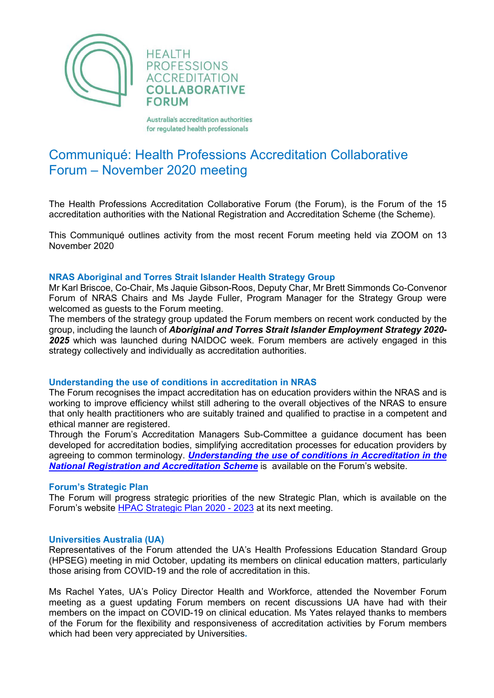

Australia's accreditation authorities for regulated health professionals

# Communiqué: Health Professions Accreditation Collaborative Forum – November 2020 meeting

The Health Professions Accreditation Collaborative Forum (the Forum), is the Forum of the 15 accreditation authorities with the National Registration and Accreditation Scheme (the Scheme).

This Communiqué outlines activity from the most recent Forum meeting held via ZOOM on 13 November 2020

### **NRAS Aboriginal and Torres Strait Islander Health Strategy Group**

Mr Karl Briscoe, Co-Chair, Ms Jaquie Gibson-Roos, Deputy Char, Mr Brett Simmonds Co-Convenor Forum of NRAS Chairs and Ms Jayde Fuller, Program Manager for the Strategy Group were welcomed as guests to the Forum meeting.

The members of the strategy group updated the Forum members on recent work conducted by the group, including the launch of *Aboriginal and Torres Strait Islander Employment Strategy 2020- 2025* which was launched during NAIDOC week. Forum members are actively engaged in this strategy collectively and individually as accreditation authorities.

## **Understanding the use of conditions in accreditation in NRAS**

The Forum recognises the impact accreditation has on education providers within the NRAS and is working to improve efficiency whilst still adhering to the overall objectives of the NRAS to ensure that only health practitioners who are suitably trained and qualified to practise in a competent and ethical manner are registered.

Through the Forum's Accreditation Managers Sub-Committee a guidance document has been developed for accreditation bodies, simplifying accreditation processes for education providers by agreeing to common terminology. *[Understanding the use of conditions in Accreditation in the](http://hpacf.org.au/wp-content/uploads/2022/04/Understanding-the-use-of-conditions-in-accreditation-in-the-NRAS-November-20201.pdf)  [National Registration and Accreditation Scheme](http://hpacf.org.au/wp-content/uploads/2022/04/Understanding-the-use-of-conditions-in-accreditation-in-the-NRAS-November-20201.pdf)* is available on the Forum's website.

### **Forum's Strategic Plan**

The Forum will progress strategic priorities of the new Strategic Plan, which is available on the Forum's website [HPAC Strategic Plan 2020 -](http://hpacf.org.au/about/) 2023 at its next meeting.

### **Universities Australia (UA)**

Representatives of the Forum attended the UA's Health Professions Education Standard Group (HPSEG) meeting in mid October, updating its members on clinical education matters, particularly those arising from COVID-19 and the role of accreditation in this.

Ms Rachel Yates, UA's Policy Director Health and Workforce, attended the November Forum meeting as a guest updating Forum members on recent discussions UA have had with their members on the impact on COVID-19 on clinical education. Ms Yates relayed thanks to members of the Forum for the flexibility and responsiveness of accreditation activities by Forum members which had been very appreciated by Universities**.**